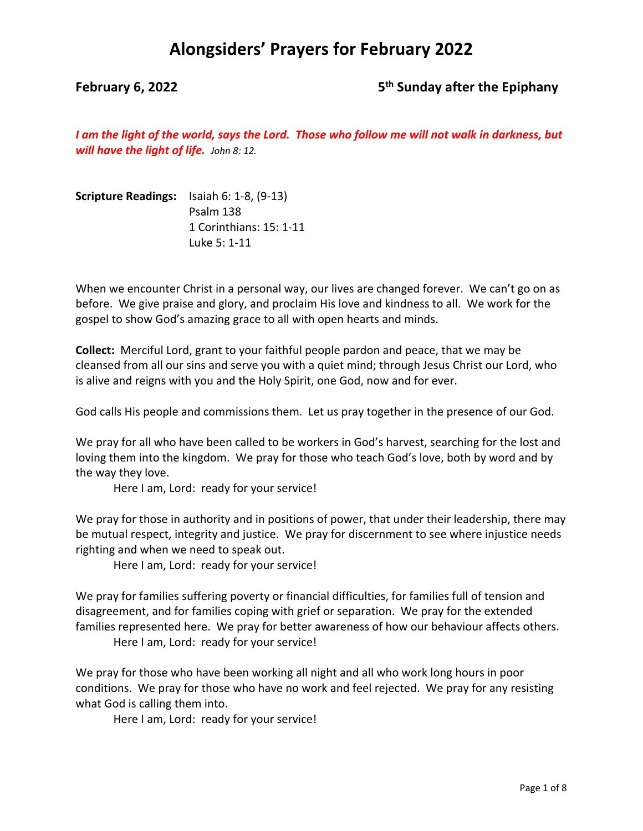### **February 6, 2022 5th Sunday after the Epiphany**

*I am the light of the world, says the Lord. Those who follow me will not walk in darkness, but will have the light of life. John 8: 12.*

| <b>Scripture Readings:</b> Isaiah 6: 1-8, (9-13) |                         |
|--------------------------------------------------|-------------------------|
|                                                  | Psalm 138               |
|                                                  | 1 Corinthians: 15: 1-11 |
|                                                  | Luke 5: 1-11            |

When we encounter Christ in a personal way, our lives are changed forever. We can't go on as before. We give praise and glory, and proclaim His love and kindness to all. We work for the gospel to show God's amazing grace to all with open hearts and minds.

**Collect:** Merciful Lord, grant to your faithful people pardon and peace, that we may be cleansed from all our sins and serve you with a quiet mind; through Jesus Christ our Lord, who is alive and reigns with you and the Holy Spirit, one God, now and for ever.

God calls His people and commissions them. Let us pray together in the presence of our God.

We pray for all who have been called to be workers in God's harvest, searching for the lost and loving them into the kingdom. We pray for those who teach God's love, both by word and by the way they love.

Here I am, Lord: ready for your service!

We pray for those in authority and in positions of power, that under their leadership, there may be mutual respect, integrity and justice. We pray for discernment to see where injustice needs righting and when we need to speak out.

Here I am, Lord: ready for your service!

We pray for families suffering poverty or financial difficulties, for families full of tension and disagreement, and for families coping with grief or separation. We pray for the extended families represented here. We pray for better awareness of how our behaviour affects others.

Here I am, Lord: ready for your service!

We pray for those who have been working all night and all who work long hours in poor conditions. We pray for those who have no work and feel rejected. We pray for any resisting what God is calling them into.

Here I am, Lord: ready for your service!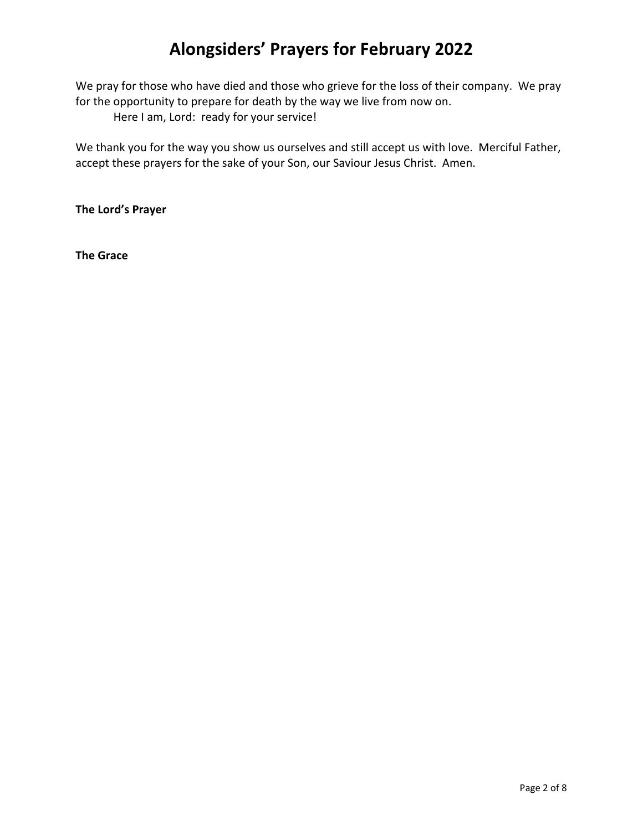We pray for those who have died and those who grieve for the loss of their company. We pray for the opportunity to prepare for death by the way we live from now on. Here I am, Lord: ready for your service!

We thank you for the way you show us ourselves and still accept us with love. Merciful Father, accept these prayers for the sake of your Son, our Saviour Jesus Christ. Amen.

**The Lord's Prayer**

**The Grace**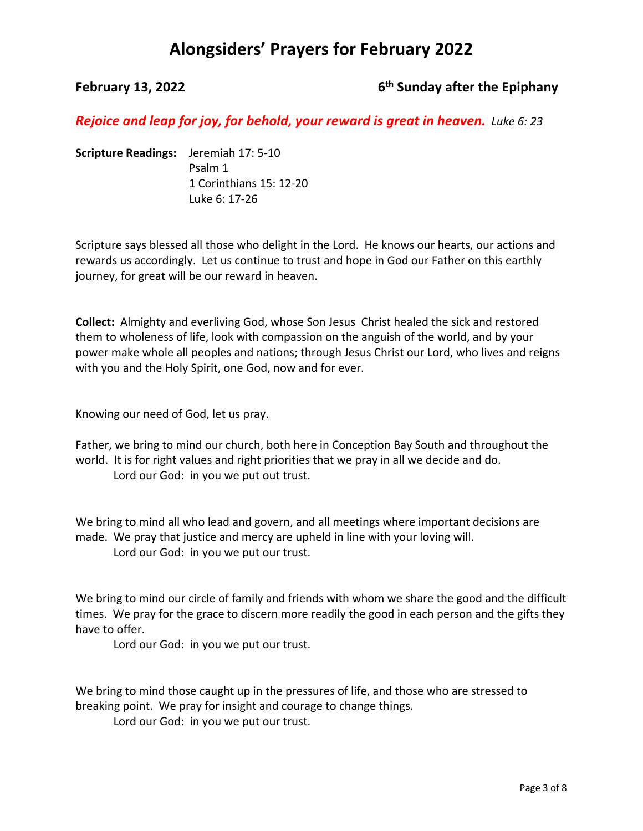### **February 13, 2022 6th Sunday after the Epiphany**

*Rejoice and leap for joy, for behold, your reward is great in heaven. Luke 6: 23*

**Scripture Readings:** Jeremiah 17: 5-10 Psalm 1 1 Corinthians 15: 12-20 Luke 6: 17-26

Scripture says blessed all those who delight in the Lord. He knows our hearts, our actions and rewards us accordingly. Let us continue to trust and hope in God our Father on this earthly journey, for great will be our reward in heaven.

**Collect:** Almighty and everliving God, whose Son Jesus Christ healed the sick and restored them to wholeness of life, look with compassion on the anguish of the world, and by your power make whole all peoples and nations; through Jesus Christ our Lord, who lives and reigns with you and the Holy Spirit, one God, now and for ever.

Knowing our need of God, let us pray.

Father, we bring to mind our church, both here in Conception Bay South and throughout the world. It is for right values and right priorities that we pray in all we decide and do. Lord our God: in you we put out trust.

We bring to mind all who lead and govern, and all meetings where important decisions are made. We pray that justice and mercy are upheld in line with your loving will. Lord our God: in you we put our trust.

We bring to mind our circle of family and friends with whom we share the good and the difficult times. We pray for the grace to discern more readily the good in each person and the gifts they have to offer.

Lord our God: in you we put our trust.

We bring to mind those caught up in the pressures of life, and those who are stressed to breaking point. We pray for insight and courage to change things.

Lord our God: in you we put our trust.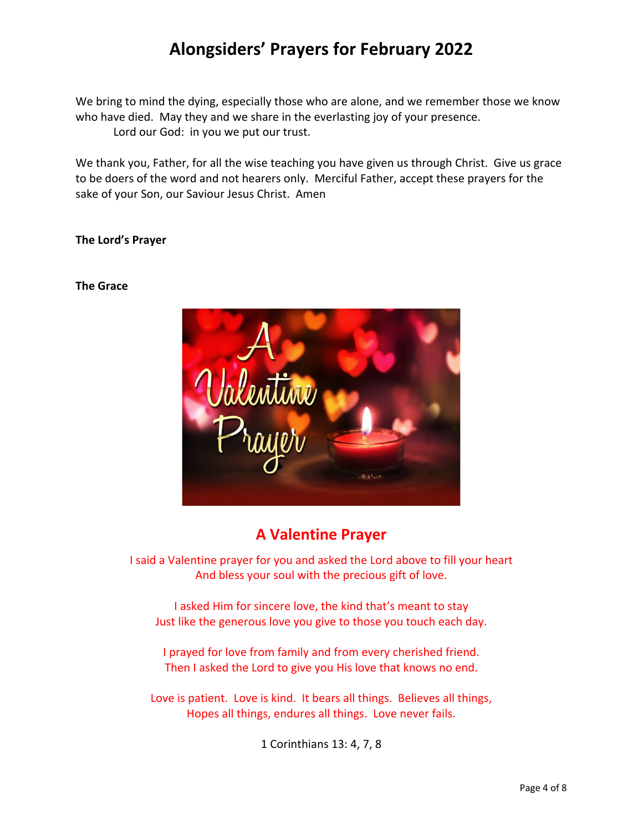We bring to mind the dying, especially those who are alone, and we remember those we know who have died. May they and we share in the everlasting joy of your presence. Lord our God: in you we put our trust.

We thank you, Father, for all the wise teaching you have given us through Christ. Give us grace to be doers of the word and not hearers only. Merciful Father, accept these prayers for the sake of your Son, our Saviour Jesus Christ. Amen

### **The Lord's Prayer**

### **The Grace**



### **A Valentine Prayer**

I said a Valentine prayer for you and asked the Lord above to fill your heart And bless your soul with the precious gift of love.

I asked Him for sincere love, the kind that's meant to stay Just like the generous love you give to those you touch each day.

I prayed for love from family and from every cherished friend. Then I asked the Lord to give you His love that knows no end.

Love is patient. Love is kind. It bears all things. Believes all things, Hopes all things, endures all things. Love never fails.

1 Corinthians 13: 4, 7, 8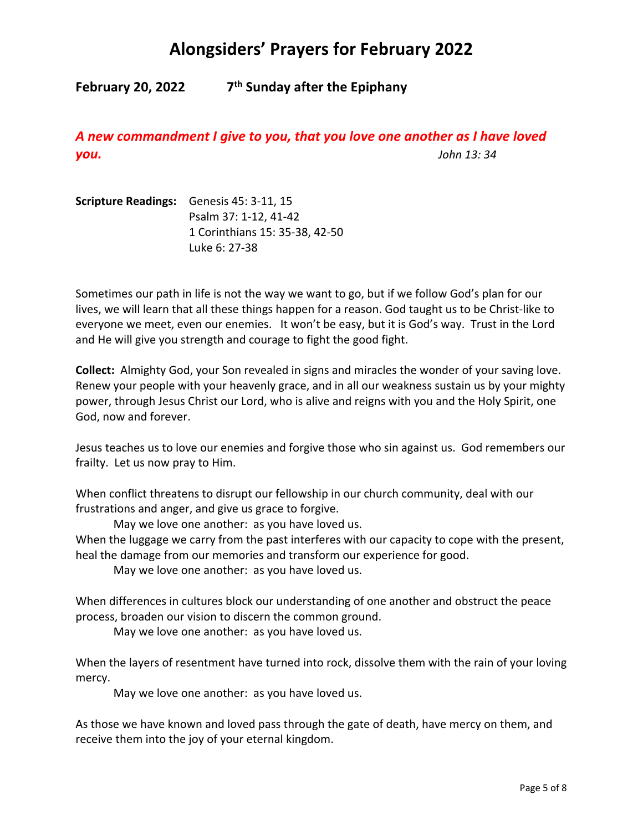**February 20, 2022 7th Sunday after the Epiphany**

*A new commandment I give to you, that you love one another as I have loved you. John 13: 34*

**Scripture Readings:** Genesis 45: 3-11, 15 Psalm 37: 1-12, 41-42 1 Corinthians 15: 35-38, 42-50 Luke 6: 27-38

Sometimes our path in life is not the way we want to go, but if we follow God's plan for our lives, we will learn that all these things happen for a reason. God taught us to be Christ-like to everyone we meet, even our enemies. It won't be easy, but it is God's way. Trust in the Lord and He will give you strength and courage to fight the good fight.

**Collect:** Almighty God, your Son revealed in signs and miracles the wonder of your saving love. Renew your people with your heavenly grace, and in all our weakness sustain us by your mighty power, through Jesus Christ our Lord, who is alive and reigns with you and the Holy Spirit, one God, now and forever.

Jesus teaches us to love our enemies and forgive those who sin against us. God remembers our frailty. Let us now pray to Him.

When conflict threatens to disrupt our fellowship in our church community, deal with our frustrations and anger, and give us grace to forgive.

May we love one another: as you have loved us.

When the luggage we carry from the past interferes with our capacity to cope with the present, heal the damage from our memories and transform our experience for good.

May we love one another: as you have loved us.

When differences in cultures block our understanding of one another and obstruct the peace process, broaden our vision to discern the common ground.

May we love one another: as you have loved us.

When the layers of resentment have turned into rock, dissolve them with the rain of your loving mercy.

May we love one another: as you have loved us.

As those we have known and loved pass through the gate of death, have mercy on them, and receive them into the joy of your eternal kingdom.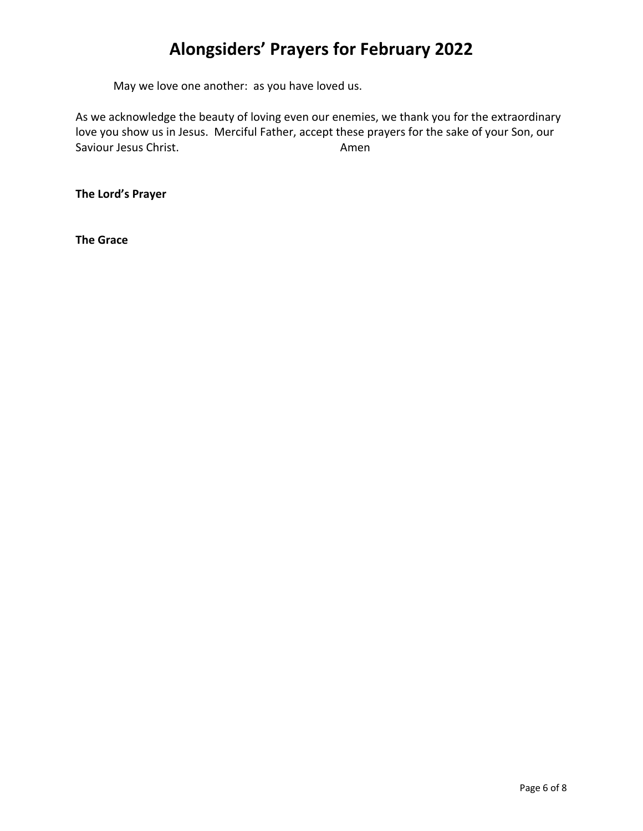May we love one another: as you have loved us.

As we acknowledge the beauty of loving even our enemies, we thank you for the extraordinary love you show us in Jesus. Merciful Father, accept these prayers for the sake of your Son, our Saviour Jesus Christ. **Amen** 

**The Lord's Prayer**

**The Grace**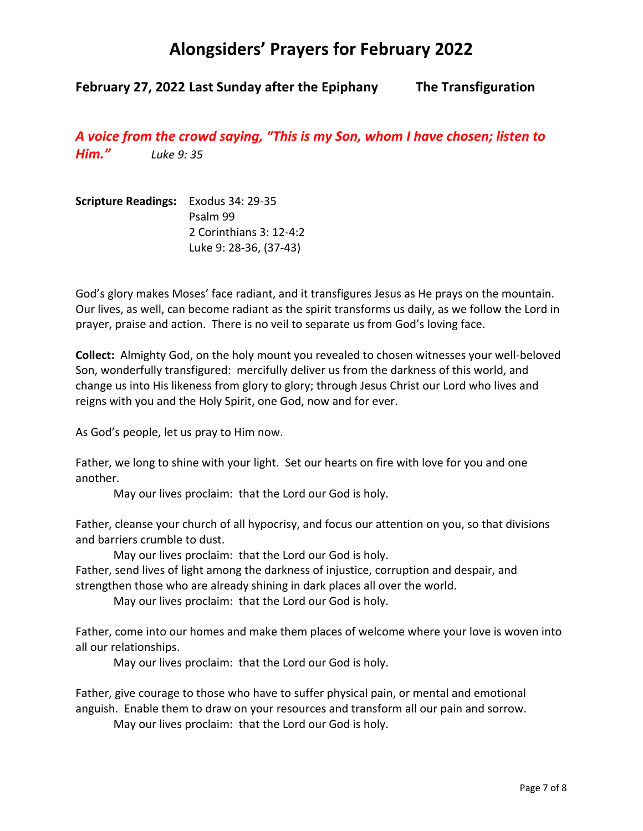### **February 27, 2022 Last Sunday after the Epiphany The Transfiguration**

*A voice from the crowd saying, "This is my Son, whom I have chosen; listen to Him." Luke 9: 35*

**Scripture Readings:** Exodus 34: 29-35 Psalm 99 2 Corinthians 3: 12-4:2 Luke 9: 28-36, (37-43)

God's glory makes Moses' face radiant, and it transfigures Jesus as He prays on the mountain. Our lives, as well, can become radiant as the spirit transforms us daily, as we follow the Lord in prayer, praise and action. There is no veil to separate us from God's loving face.

**Collect:** Almighty God, on the holy mount you revealed to chosen witnesses your well-beloved Son, wonderfully transfigured: mercifully deliver us from the darkness of this world, and change us into His likeness from glory to glory; through Jesus Christ our Lord who lives and reigns with you and the Holy Spirit, one God, now and for ever.

As God's people, let us pray to Him now.

Father, we long to shine with your light. Set our hearts on fire with love for you and one another.

May our lives proclaim: that the Lord our God is holy.

Father, cleanse your church of all hypocrisy, and focus our attention on you, so that divisions and barriers crumble to dust.

May our lives proclaim: that the Lord our God is holy.

Father, send lives of light among the darkness of injustice, corruption and despair, and strengthen those who are already shining in dark places all over the world.

May our lives proclaim: that the Lord our God is holy.

Father, come into our homes and make them places of welcome where your love is woven into all our relationships.

May our lives proclaim: that the Lord our God is holy.

Father, give courage to those who have to suffer physical pain, or mental and emotional anguish. Enable them to draw on your resources and transform all our pain and sorrow.

May our lives proclaim: that the Lord our God is holy.